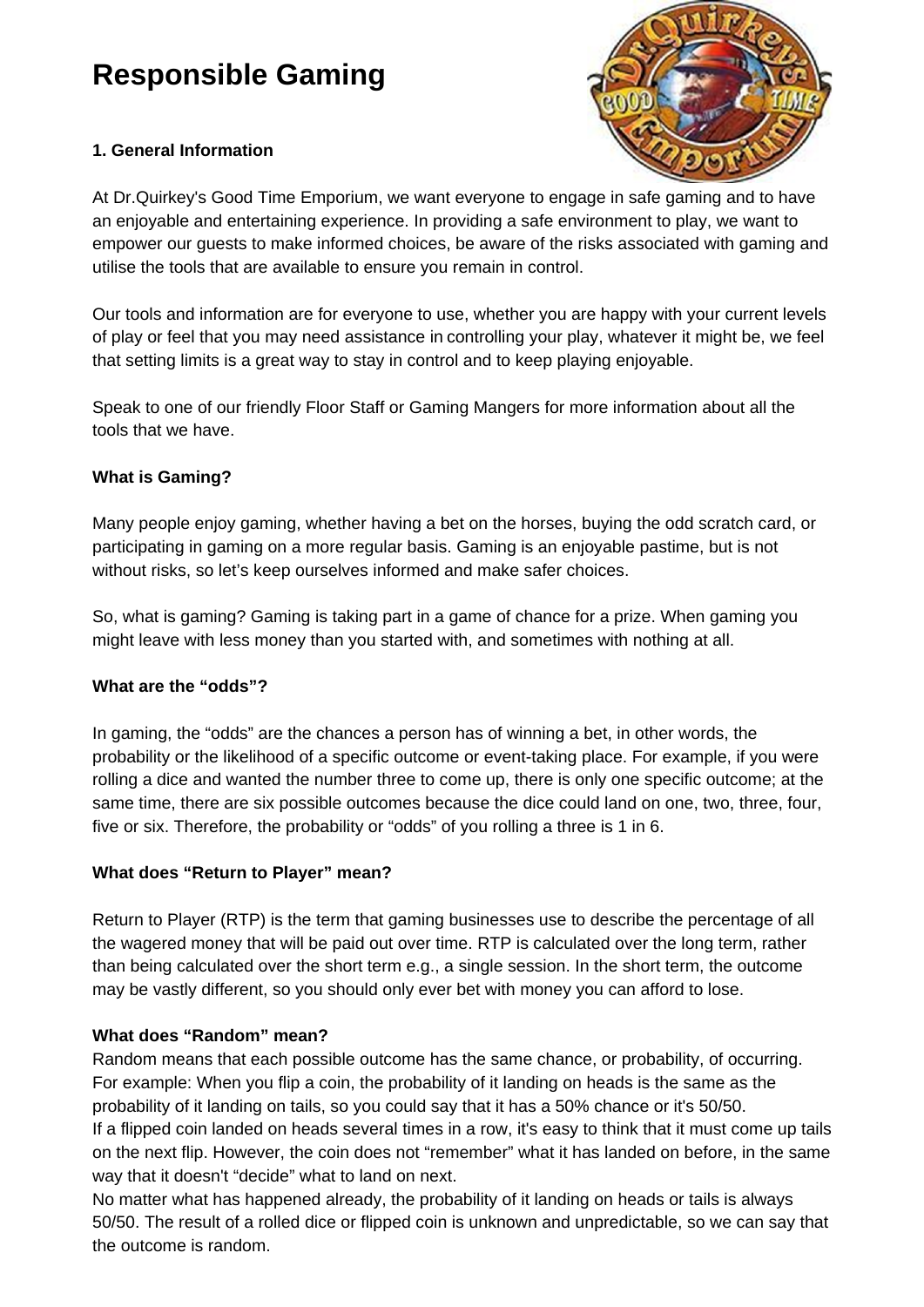# **Responsible Gaming**

## **1. General Information**



At Dr.Quirkey's Good Time Emporium, we want everyone to engage in safe gaming and to have an enjoyable and entertaining experience. In providing a safe environment to play, we want to empower our guests to make informed choices, be aware of the risks associated with gaming and utilise the tools that are available to ensure you remain in control.

Our tools and information are for everyone to use, whether you are happy with your current levels of play or feel that you may need assistance in controlling your play, whatever it might be, we feel that setting limits is a great way to stay in control and to keep playing enjoyable.

Speak to one of our friendly Floor Staff or Gaming Mangers for more information about all the tools that we have.

#### **What is Gaming?**

Many people enjoy gaming, whether having a bet on the horses, buying the odd scratch card, or participating in gaming on a more regular basis. Gaming is an enjoyable pastime, but is not without risks, so let's keep ourselves informed and make safer choices.

So, what is gaming? Gaming is taking part in a game of chance for a prize. When gaming you might leave with less money than you started with, and sometimes with nothing at all.

#### **What are the "odds"?**

In gaming, the "odds" are the chances a person has of winning a bet, in other words, the probability or the likelihood of a specific outcome or event-taking place. For example, if you were rolling a dice and wanted the number three to come up, there is only one specific outcome; at the same time, there are six possible outcomes because the dice could land on one, two, three, four, five or six. Therefore, the probability or "odds" of you rolling a three is 1 in 6.

#### **What does "Return to Player" mean?**

Return to Player (RTP) is the term that gaming businesses use to describe the percentage of all the wagered money that will be paid out over time. RTP is calculated over the long term, rather than being calculated over the short term e.g., a single session. In the short term, the outcome may be vastly different, so you should only ever bet with money you can afford to lose.

#### **What does "Random" mean?**

Random means that each possible outcome has the same chance, or probability, of occurring. For example: When you flip a coin, the probability of it landing on heads is the same as the probability of it landing on tails, so you could say that it has a 50% chance or it's 50/50. If a flipped coin landed on heads several times in a row, it's easy to think that it must come up tails on the next flip. However, the coin does not "remember" what it has landed on before, in the same way that it doesn't "decide" what to land on next.

No matter what has happened already, the probability of it landing on heads or tails is always 50/50. The result of a rolled dice or flipped coin is unknown and unpredictable, so we can say that the outcome is random.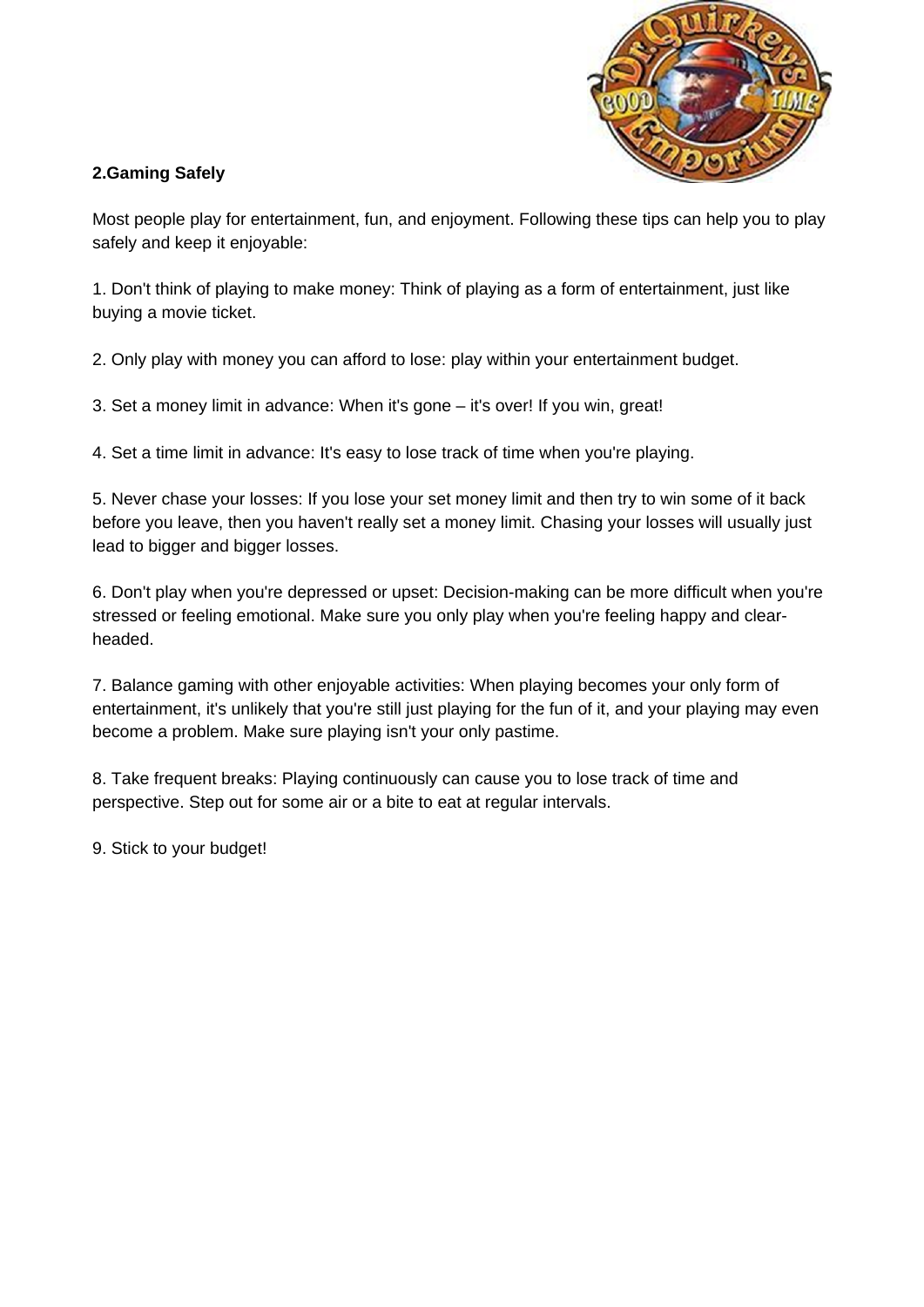

## **2.Gaming Safely**

Most people play for entertainment, fun, and enjoyment. Following these tips can help you to play safely and keep it enjoyable:

1. Don't think of playing to make money: Think of playing as a form of entertainment, just like buying a movie ticket.

2. Only play with money you can afford to lose: play within your entertainment budget.

3. Set a money limit in advance: When it's gone – it's over! If you win, great!

4. Set a time limit in advance: It's easy to lose track of time when you're playing.

5. Never chase your losses: If you lose your set money limit and then try to win some of it back before you leave, then you haven't really set a money limit. Chasing your losses will usually just lead to bigger and bigger losses.

6. Don't play when you're depressed or upset: Decision-making can be more difficult when you're stressed or feeling emotional. Make sure you only play when you're feeling happy and clearheaded.

7. Balance gaming with other enjoyable activities: When playing becomes your only form of entertainment, it's unlikely that you're still just playing for the fun of it, and your playing may even become a problem. Make sure playing isn't your only pastime.

8. Take frequent breaks: Playing continuously can cause you to lose track of time and perspective. Step out for some air or a bite to eat at regular intervals.

9. Stick to your budget!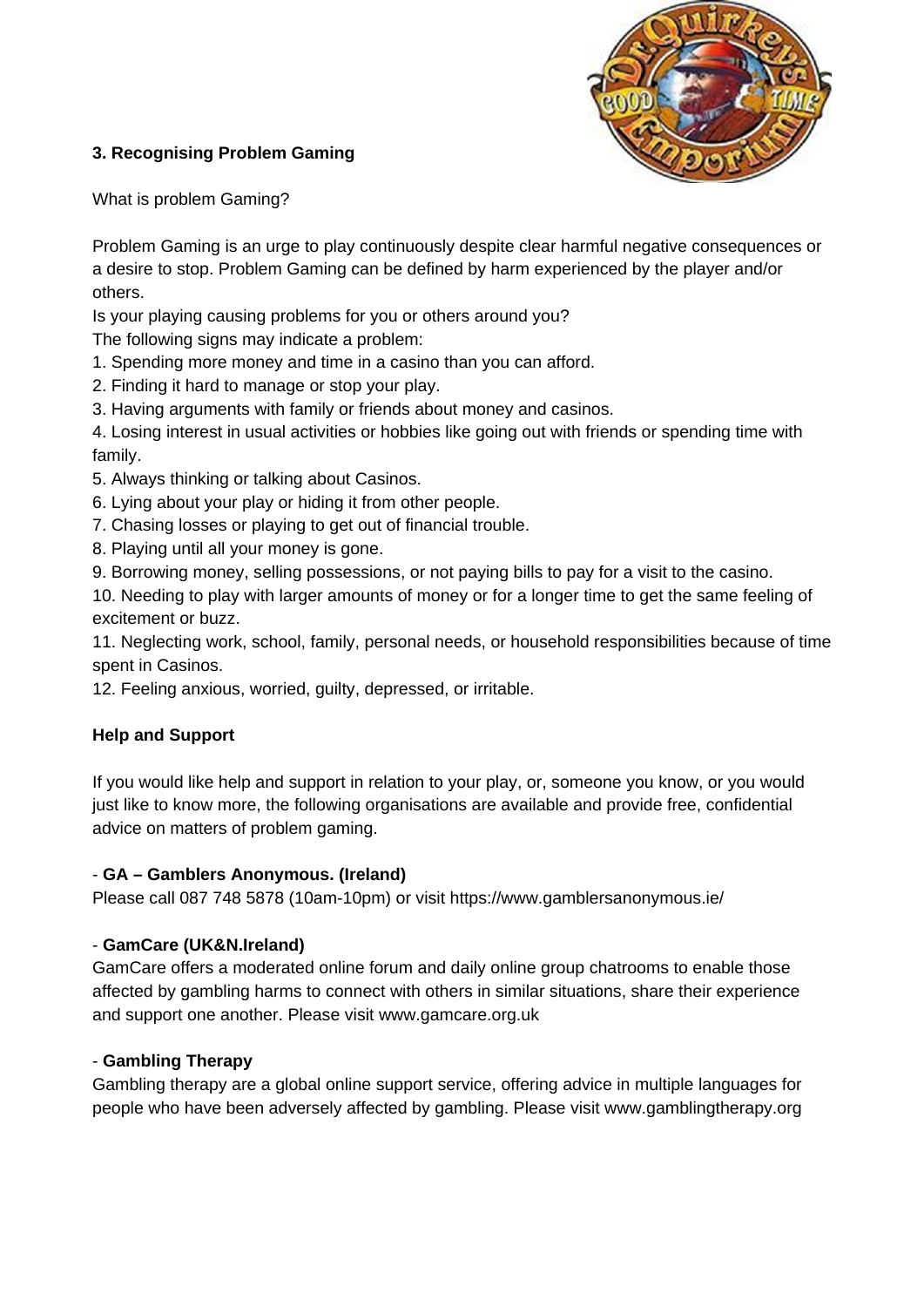

# **3. Recognising Problem Gaming**

What is problem Gaming?

Problem Gaming is an urge to play continuously despite clear harmful negative consequences or a desire to stop. Problem Gaming can be defined by harm experienced by the player and/or others.

Is your playing causing problems for you or others around you?

The following signs may indicate a problem:

- 1. Spending more money and time in a casino than you can afford.
- 2. Finding it hard to manage or stop your play.
- 3. Having arguments with family or friends about money and casinos.

4. Losing interest in usual activities or hobbies like going out with friends or spending time with family.

- 5. Always thinking or talking about Casinos.
- 6. Lying about your play or hiding it from other people.
- 7. Chasing losses or playing to get out of financial trouble.
- 8. Playing until all your money is gone.
- 9. Borrowing money, selling possessions, or not paying bills to pay for a visit to the casino.

10. Needing to play with larger amounts of money or for a longer time to get the same feeling of excitement or buzz.

11. Neglecting work, school, family, personal needs, or household responsibilities because of time spent in Casinos.

12. Feeling anxious, worried, guilty, depressed, or irritable.

# **Help and Support**

If you would like help and support in relation to your play, or, someone you know, or you would just like to know more, the following organisations are available and provide free, confidential advice on matters of problem gaming.

#### - **GA – Gamblers Anonymous. (Ireland)**

Please call 087 748 5878 (10am-10pm) or visit https://www.gamblersanonymous.ie/

#### - **GamCare (UK&N.Ireland)**

GamCare offers a [moderated](http://www.gamcare.org.uk/gamcare-forum) online forum and daily online group [chatrooms](http://www.gamcare.org.uk/group-chatroom) to enable those affected by gambling harms to connect with others in similar situations, share their experience and support one another. Please visit www.gamcare.org.uk

#### - **[Gambling](http://www.gamblingtherepy.org/) Therapy**

Gambling therapy are a global online support service, offering advice in multiple languages for people who have been adversely affected by gambling. Please visit [www.gamblingtherapy.org](http://www.gamblingtherapy.org/)